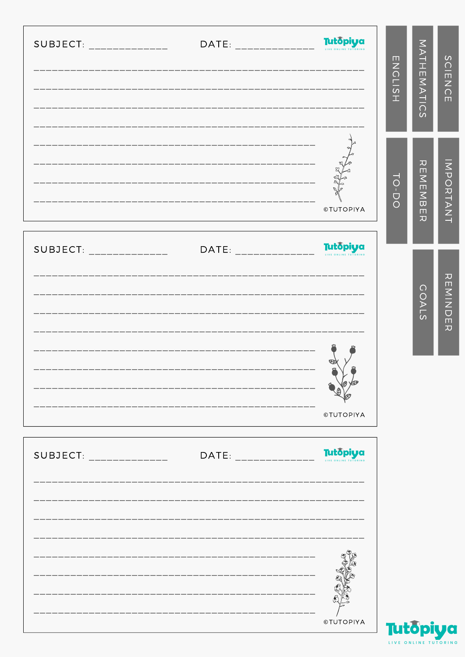|                           |                                                              |                                                   | $\overline{N}$<br><b>TISH</b> | MATHEMATICS                                                                                           | $\Omega$<br>$\frac{1}{2}$<br>$\overline{\widetilde{\circ}}$<br>$\blacksquare$ |
|---------------------------|--------------------------------------------------------------|---------------------------------------------------|-------------------------------|-------------------------------------------------------------------------------------------------------|-------------------------------------------------------------------------------|
|                           |                                                              | <b>©TUTOPIYA</b>                                  | TO-DO                         | $\boldsymbol{\pi}$<br>$\Box$<br>$\geq$<br>$\frac{1}{2}$<br>$\blacksquare$<br>$\overline{\mathcal{L}}$ | <b>INDORTANT</b>                                                              |
| SUBJECT: ______________   |                                                              | DATE: ______________ Tutopiya<br><b>©TUTOPIYA</b> |                               | $\frac{0}{0}$<br>$\leq$ 7 $\leq$                                                                      | カロMINDE<br>$\overline{x}$                                                     |
| $SUBJECT:$ ______________ | DATE: ______________<br>------------------------------------ | Tutopiya<br><b>©TUTOPIYA</b>                      | <b>Tutopiva</b>               |                                                                                                       |                                                                               |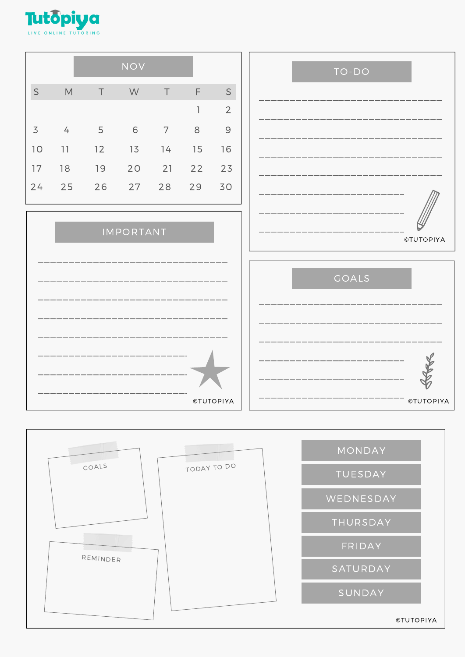

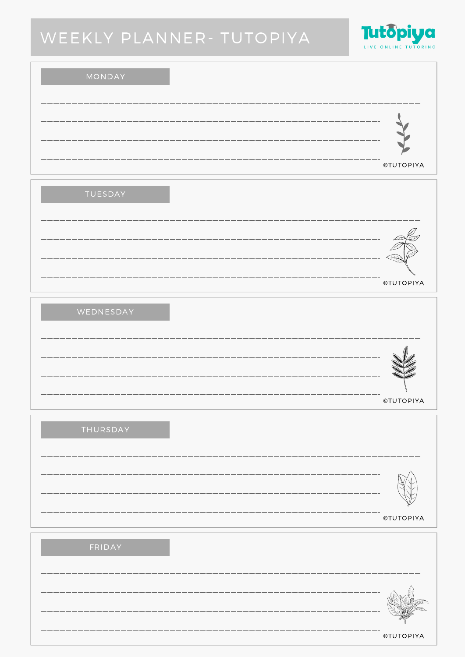# WEEKLY PLANNER- TUTOPIYA



### MONDAY

|            | ___<br>-- |           |
|------------|-----------|-----------|
| __<br>---- |           | ©TUTOPIYA |

| ____ |                  |
|------|------------------|
|      |                  |
|      | <b>©TUTOPIYA</b> |

### WEDNESDAY

| ___ |                  |
|-----|------------------|
|     |                  |
| --  | <b>©TUTOPIYA</b> |

## THURSDAY

| ---- |           |
|------|-----------|
| ---- |           |
|      | ©TUTOPIYA |

| ---- |           |
|------|-----------|
| ___  |           |
|      | ©TUTOPIYA |